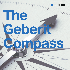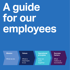# **A guide for our employees**

**Mission**

What we do

#### **Values**

What is important to us

**Operational principles**

How we work together

#### **Success factors**

What makes us successful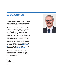#### **Dear employees**

A compass is an extremely useful guiding instrument, and is absolutely essential for anyone pursuing an ambitious goal.

The Geberit Group is no different in this respect – we want to provide excellence in everything we do. To do this, it is important that we all pull in the same direction, which is where the Geberit Compass comes into play. It is designed to reassure us as to what our shared mission is. But that's not all – the fundamental values that shape our corporate culture both now and in the future are also listed here. Finally, the right decisions can only be made by those who take to heart the operational principles set out here and who are also familiar with our success factors.

The Geberit Compass will only become a useful instrument when our everyday actions follow the principles listed here, so let's get to work!

Christian Buhl **C<sub>EO</sub>** 

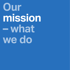## **Our mission – what we do**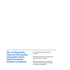**We continuously improve the quality of people's lives with innovative sanitary products.**

- Our innovations set standards in our field.
- Providing excellence is the goal that always drives our actions.
- We strive to achieve a harmonious balance between business, environmental and social goals.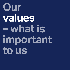## **Our values – what is important to us**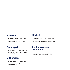### **Integrity**

• We maintain high ethical standards based on trust and mutual respect combined with open and honest communication.

### **Team spirit**

• We share our knowledge and work together constructively to find the best solution.

### **Enthusiasm**

• We identify with our company and motivate ourselves by achieving challenging goals.

#### **Modesty**

• We are ambitious and successful, but adopt – both individually and collectively – modest and unassuming attitudes and behaviour.

#### **Ability to renew ourselves**

• We are ready and willing to continuously learn, grow and explore new paths.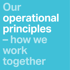# **Our operational principles – how we work together**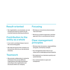#### **Result-oriented**

• Our organisation, our processes, our use of resources and our actions are all oriented towards attaining excellence.

#### **Contribution to the entity as a whole**

- In our work, we always keep an eye on the overarching goals.
- We make the good of the company our first priority, and not our own personal interests.

#### **Teamwork**

• We promote collaboration in networks and teams from across different organisations that align themselves according to the organisation and structures within our company.

#### **Focusing**

- We keep our structures and processes "lean and mean".
- We focus on what is important, and then approach this in a professional manner.

#### **Clear management principles**

- We have clear structures, responsibilities and goals, and lead by example.
- Our management style rests on our values and is challenging and participative.
- We implement our decisions quickly and systematically.
- Our communication is open and transparent.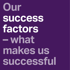**Our success factors – what makes us successful**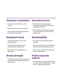#### **Customer orientation**

- Our customers are the focus of our actions.
- We meet the needs of our customers.
- Our customer relationships are based on trust and partnership.

#### **Employee focus**

- The right employees are our most important asset.
- The ongoing development of our employees has a high priority.
- We are fair in our dealings with our employees.

### **Brand strength**

• The Geberit brand stands for know-how, innovation, partnership, reliability and quality of life.

#### **Innovative force**

- We develop innovative products, techniques and services and thus set standards in the field.
- Our innovations ensure that the needs of our customers are met in the best possible way.

### **Sustainability**

- Our actions are geared towards the long term.
- The outstanding quality of our products and services has the highest priority.
- It is our duty to treat natural resources with care and respect.

#### **Vivid corporate culture**

• Our corporate culture is based on living our values daily and aligning our actions with our operational principles.